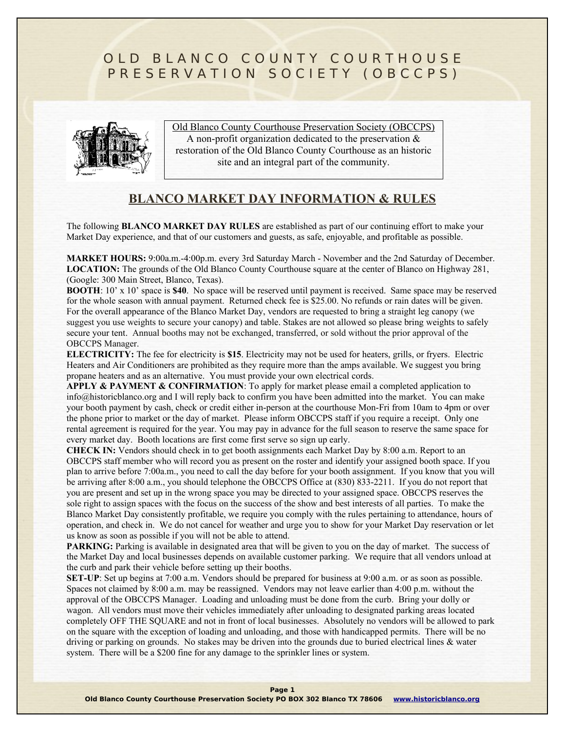# OLD BLANCO COUNTY COURTHOUSE PRESERVATION SOCIETY (OBCCPS)



Old Blanco County Courthouse Preservation Society (OBCCPS) A non-profit organization dedicated to the preservation & restoration of the Old Blanco County Courthouse as an historic site and an integral part of the community.

## **BLANCO MARKET DAY INFORMATION & RULES**

The following **BLANCO MARKET DAY RULES** are established as part of our continuing effort to make your Market Day experience, and that of our customers and guests, as safe, enjoyable, and profitable as possible.

**MARKET HOURS:** 9:00a.m.-4:00p.m. every 3rd Saturday March - November and the 2nd Saturday of December. LOCATION: The grounds of the Old Blanco County Courthouse square at the center of Blanco on Highway 281, (Google: 300 Main Street, Blanco, Texas).

**BOOTH**: 10' x 10' space is **\$40**. No space will be reserved until payment is received. Same space may be reserved for the whole season with annual payment. Returned check fee is \$25.00. No refunds or rain dates will be given. For the overall appearance of the Blanco Market Day, vendors are requested to bring a straight leg canopy (we suggest you use weights to secure your canopy) and table. Stakes are not allowed so please bring weights to safely secure your tent. Annual booths may not be exchanged, transferred, or sold without the prior approval of the OBCCPS Manager.

**ELECTRICITY:** The fee for electricity is **\$15**. Electricity may not be used for heaters, grills, or fryers. Electric Heaters and Air Conditioners are prohibited as they require more than the amps available. We suggest you bring propane heaters and as an alternative. You must provide your own electrical cords.

**APPLY & PAYMENT & CONFIRMATION**: To apply for market please email a completed application to [info@historicblanco.org](mailto:info@historicblanco.org) and I will reply back to confirm you have been admitted into the market. You can make your booth payment by cash, check or credit either in-person at the courthouse Mon-Fri from 10am to 4pm or over the phone prior to market or the day of market. Please inform OBCCPS staff if you require a receipt. Only one rental agreement is required for the year. You may pay in advance for the full season to reserve the same space for every market day. Booth locations are first come first serve so sign up early.

**CHECK IN:** Vendors should check in to get booth assignments each Market Day by 8:00 a.m. Report to an OBCCPS staff member who will record you as present on the roster and identify your assigned booth space. If you plan to arrive before 7:00a.m., you need to call the day before for your booth assignment. If you know that you will be arriving after 8:00 a.m., you should telephone the OBCCPS Office at (830) 833-2211. If you do not report that you are present and set up in the wrong space you may be directed to your assigned space. OBCCPS reserves the sole right to assign spaces with the focus on the success of the show and best interests of all parties. To make the Blanco Market Day consistently profitable, we require you comply with the rules pertaining to attendance, hours of operation, and check in. We do not cancel for weather and urge you to show for your Market Day reservation or let us know as soon as possible if you will not be able to attend.

**PARKING:** Parking is available in designated area that will be given to you on the day of market. The success of the Market Day and local businesses depends on available customer parking. We require that all vendors unload at the curb and park their vehicle before setting up their booths.

**SET-UP**: Set up begins at 7:00 a.m. Vendors should be prepared for business at 9:00 a.m. or as soon as possible. Spaces not claimed by 8:00 a.m. may be reassigned. Vendors may not leave earlier than 4:00 p.m. without the approval of the OBCCPS Manager. Loading and unloading must be done from the curb. Bring your dolly or wagon. All vendors must move their vehicles immediately after unloading to designated parking areas located completely OFF THE SQUARE and not in front of local businesses. Absolutely no vendors will be allowed to park on the square with the exception of loading and unloading, and those with handicapped permits. There will be no driving or parking on grounds. No stakes may be driven into the grounds due to buried electrical lines & water system. There will be a \$200 fine for any damage to the sprinkler lines or system.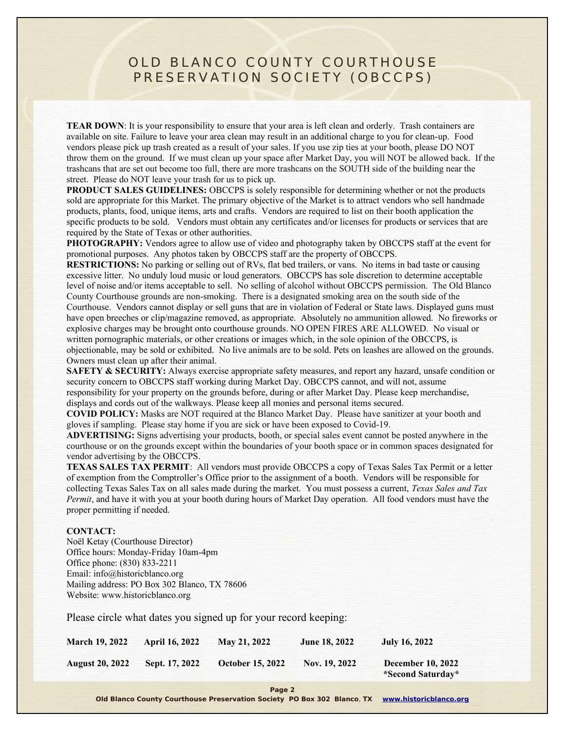## OLD BLANCO COUNTY COURTHOUSE PRESERVATION SOCIETY (OBCCPS)

**TEAR DOWN**: It is your responsibility to ensure that your area is left clean and orderly. Trash containers are available on site. Failure to leave your area clean may result in an additional charge to you for clean-up. Food vendors please pick up trash created as a result of your sales. If you use zip ties at your booth, please DO NOT throw them on the ground. If we must clean up your space after Market Day, you will NOT be allowed back. If the trashcans that are set out become too full, there are more trashcans on the SOUTH side of the building near the street. Please do NOT leave your trash for us to pick up.

**PRODUCT SALES GUIDELINES:** OBCCPS is solely responsible for determining whether or not the products sold are appropriate for this Market. The primary objective of the Market is to attract vendors who sell handmade products, plants, food, unique items, arts and crafts. Vendors are required to list on their booth application the specific products to be sold. Vendors must obtain any certificates and/or licenses for products or services that are required by the State of Texas or other authorities.

**PHOTOGRAPHY:** Vendors agree to allow use of video and photography taken by OBCCPS staff at the event for promotional purposes. Any photos taken by OBCCPS staff are the property of OBCCPS.

**RESTRICTIONS:** No parking or selling out of RVs, flat bed trailers, or vans. No items in bad taste or causing excessive litter. No unduly loud music or loud generators. OBCCPS has sole discretion to determine acceptable level of noise and/or items acceptable to sell. No selling of alcohol without OBCCPS permission. The Old Blanco County Courthouse grounds are non-smoking. There is a designated smoking area on the south side of the Courthouse. Vendors cannot display or sell guns that are in violation of Federal or State laws. Displayed guns must have open breeches or clip/magazine removed, as appropriate. Absolutely no ammunition allowed. No fireworks or explosive charges may be brought onto courthouse grounds. NO OPEN FIRES ARE ALLOWED. No visual or written pornographic materials, or other creations or images which, in the sole opinion of the OBCCPS, is objectionable, may be sold or exhibited. No live animals are to be sold. Pets on leashes are allowed on the grounds. Owners must clean up after their animal.

**SAFETY & SECURITY:** Always exercise appropriate safety measures, and report any hazard, unsafe condition or security concern to OBCCPS staff working during Market Day. OBCCPS cannot, and will not, assume responsibility for your property on the grounds before, during or after Market Day. Please keep merchandise, displays and cords out of the walkways. Please keep all monies and personal items secured.

**COVID POLICY:** Masks are NOT required at the Blanco Market Day. Please have sanitizer at your booth and gloves if sampling. Please stay home if you are sick or have been exposed to Covid-19.

**ADVERTISING:** Signs advertising your products, booth, or special sales event cannot be posted anywhere in the courthouse or on the grounds except within the boundaries of your booth space or in common spaces designated for vendor advertising by the OBCCPS.

**TEXAS SALES TAX PERMIT**: All vendors must provide OBCCPS a copy of Texas Sales Tax Permit or a letter of exemption from the Comptroller's Office prior to the assignment of a booth. Vendors will be responsible for collecting Texas Sales Tax on all sales made during the market. You must possess a current, *Texas Sales and Tax Permit*, and have it with you at your booth during hours of Market Day operation. All food vendors must have the proper permitting if needed.

#### **CONTACT:**

Noël Ketay (Courthouse Director) Office hours: Monday-Friday 10am-4pm Office phone: (830) 833-2211 Email: [info@historicblanco.org](mailto:info@historicblanco.org) Mailing address: PO Box 302 Blanco, TX 78606 Website: [www.historicblanco.org](http://www.historicblanco.org/)

Please circle what dates you signed up for your record keeping:

| <b>March 19, 2022</b>  | <b>April 16, 2022</b> | May 21, 2022            | <b>June 18, 2022</b> | <b>July 16, 2022</b>                          |
|------------------------|-----------------------|-------------------------|----------------------|-----------------------------------------------|
| <b>August 20, 2022</b> | Sept. 17, 2022        | <b>October 15, 2022</b> | Nov. 19, 2022        | <b>December 10, 2022</b><br>*Second Saturday* |

**Page 2**

**Old Blanco County Courthouse Preservation Society PO Box 302 Blanco**, **TX [www.historicblanco.org](http://www.historicblanco.org/)**